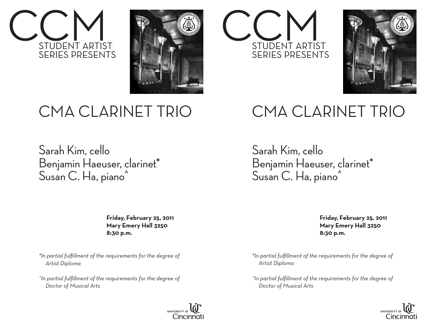



## CMA CLARINET TRIO

Sarah Kim, cello Benjamin Haeuser, clarinet\* Susan C. Ha, piano<sup>^</sup>

> **Friday, February 25, 2011 Mary Emery Hall 3250 8:30 p.m.**

*\*In partial fulfillment of the requirements for the degree of Artist Diploma*

*^In partial fulfillment of the requirements for the degree of Doctor of Musical Arts*